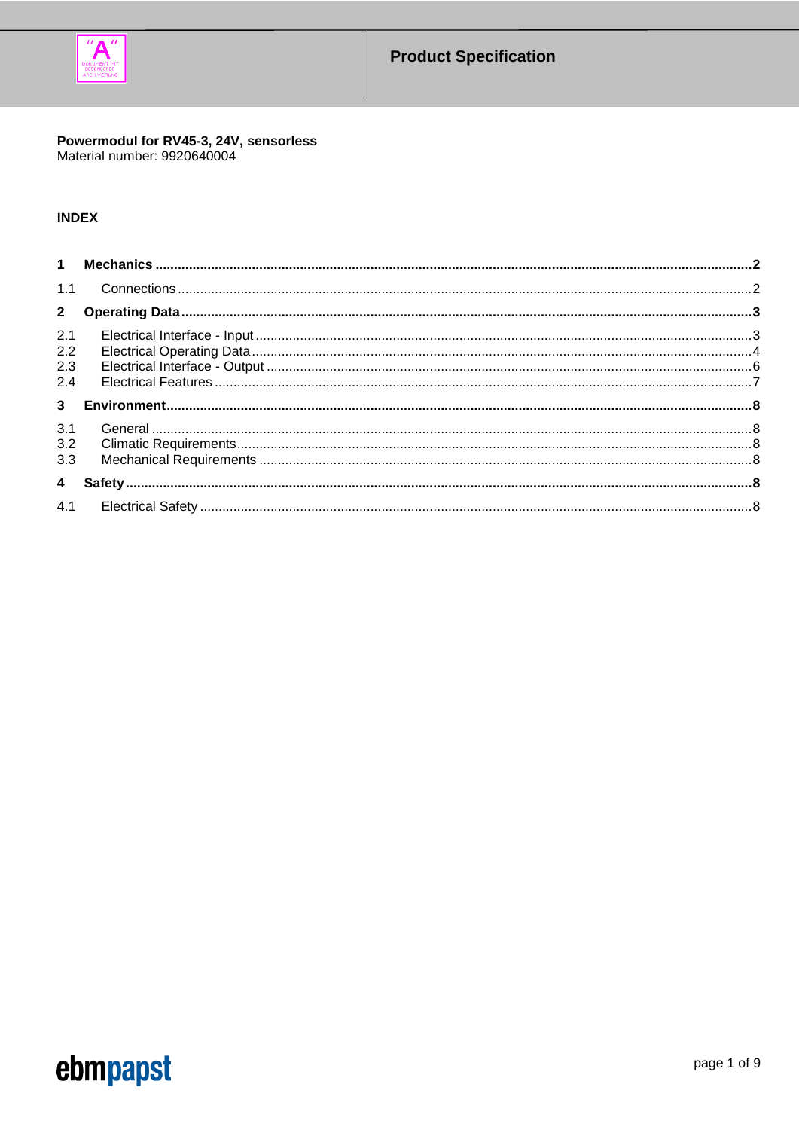

# Powermodul for RV45-3, 24V, sensorless<br>Material number: 9920640004

# **INDEX**

| 2.1 |  |
|-----|--|
| 2.2 |  |
| 2.3 |  |
| 2.4 |  |
|     |  |
| 3.1 |  |
| 3.2 |  |
| 3.3 |  |
|     |  |
|     |  |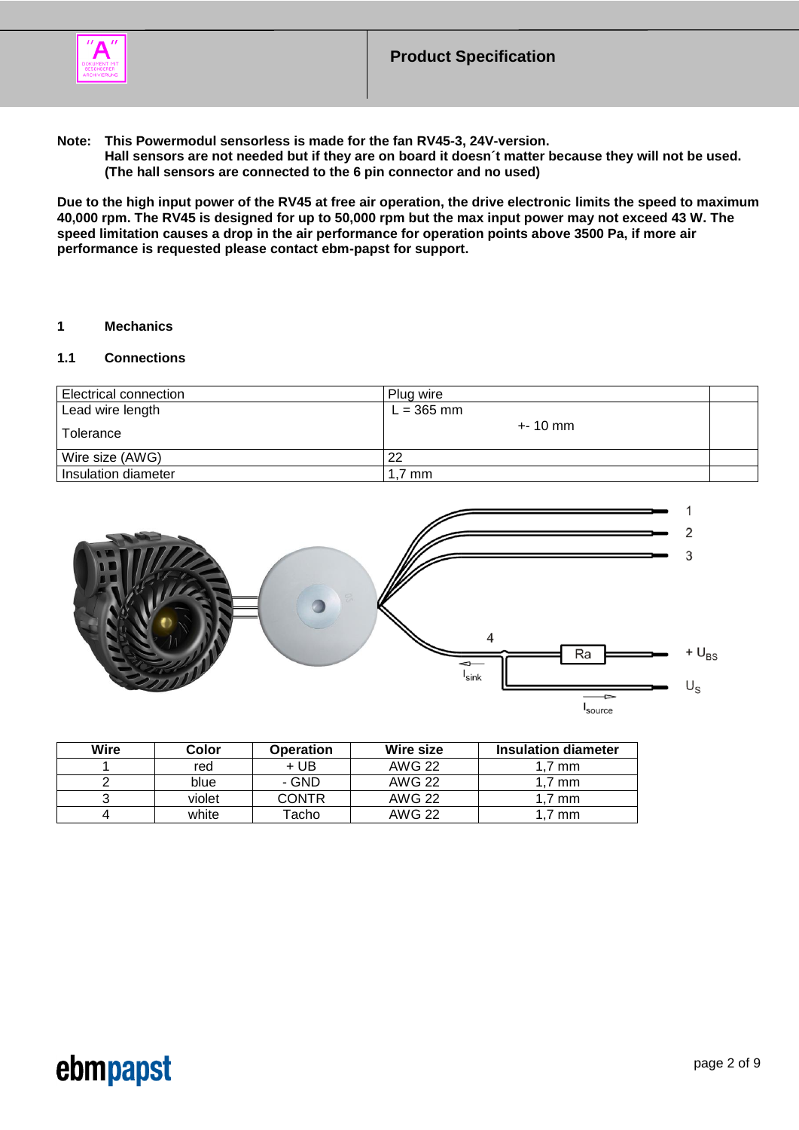

**Note: This Powermodul sensorless is made for the fan RV45-3, 24V-version.**

**Hall sensors are not needed but if they are on board it doesn´t matter because they will not be used. (The hall sensors are connected to the 6 pin connector and no used)**

**Due to the high input power of the RV45 at free air operation, the drive electronic limits the speed to maximum 40,000 rpm. The RV45 is designed for up to 50,000 rpm but the max input power may not exceed 43 W. The speed limitation causes a drop in the air performance for operation points above 3500 Pa, if more air performance is requested please contact ebm-papst for support.**

### <span id="page-1-0"></span>**1 Mechanics**

## <span id="page-1-1"></span>**1.1 Connections**

| Electrical connection | Plug wire    |  |
|-----------------------|--------------|--|
| Lead wire length      | $L = 365$ mm |  |
| l Tolerance           | $+ - 10$ mm  |  |
| Wire size (AWG)       | 22           |  |
| Insulation diameter   | . ,7 mm      |  |



| <b>Wire</b> | Color  | <b>Operation</b> | Wire size     | <b>Insulation diameter</b> |
|-------------|--------|------------------|---------------|----------------------------|
|             | red    | + UB             | <b>AWG 22</b> | 1.7 mm                     |
|             | blue   | - GND            | <b>AWG 22</b> | 1.7 mm                     |
|             | violet | CONTR            | <b>AWG 22</b> | 1.7 mm                     |
|             | white  | Tacho            | <b>AWG 22</b> | $1.7 \text{ mm}$           |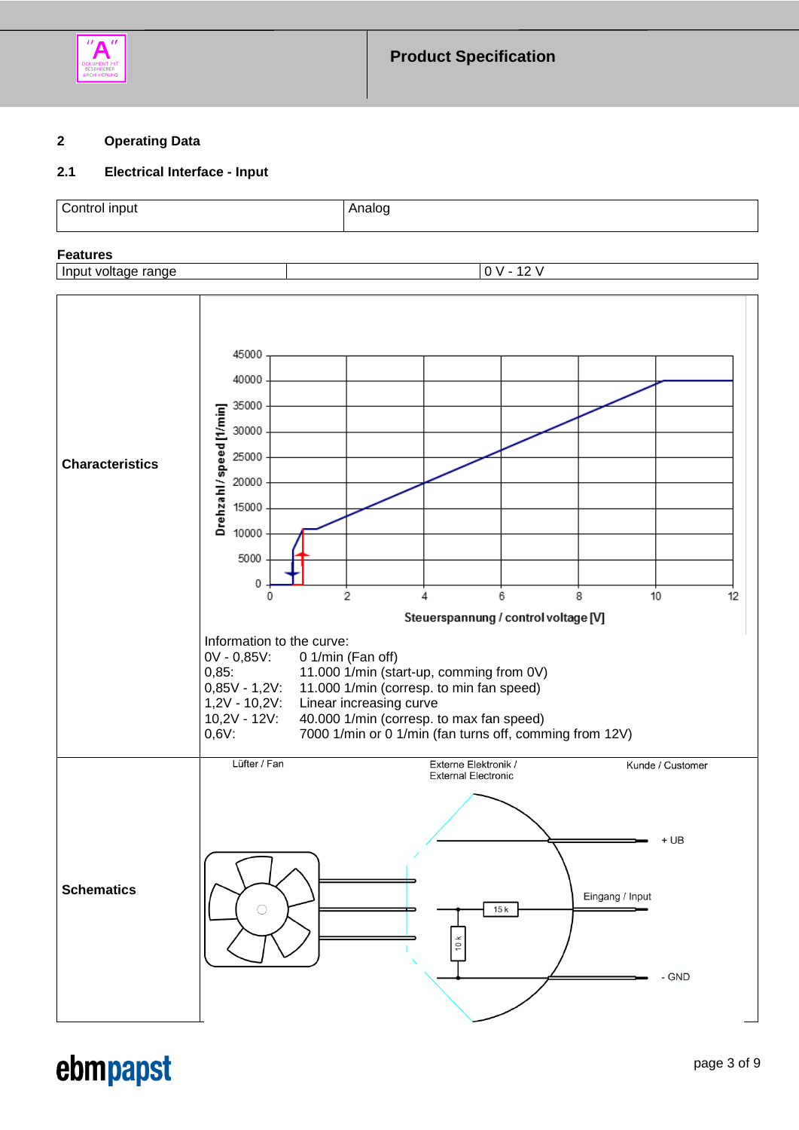

## <span id="page-2-0"></span>**2 Operating Data**

## <span id="page-2-1"></span>**2.1 Electrical Interface - Input**

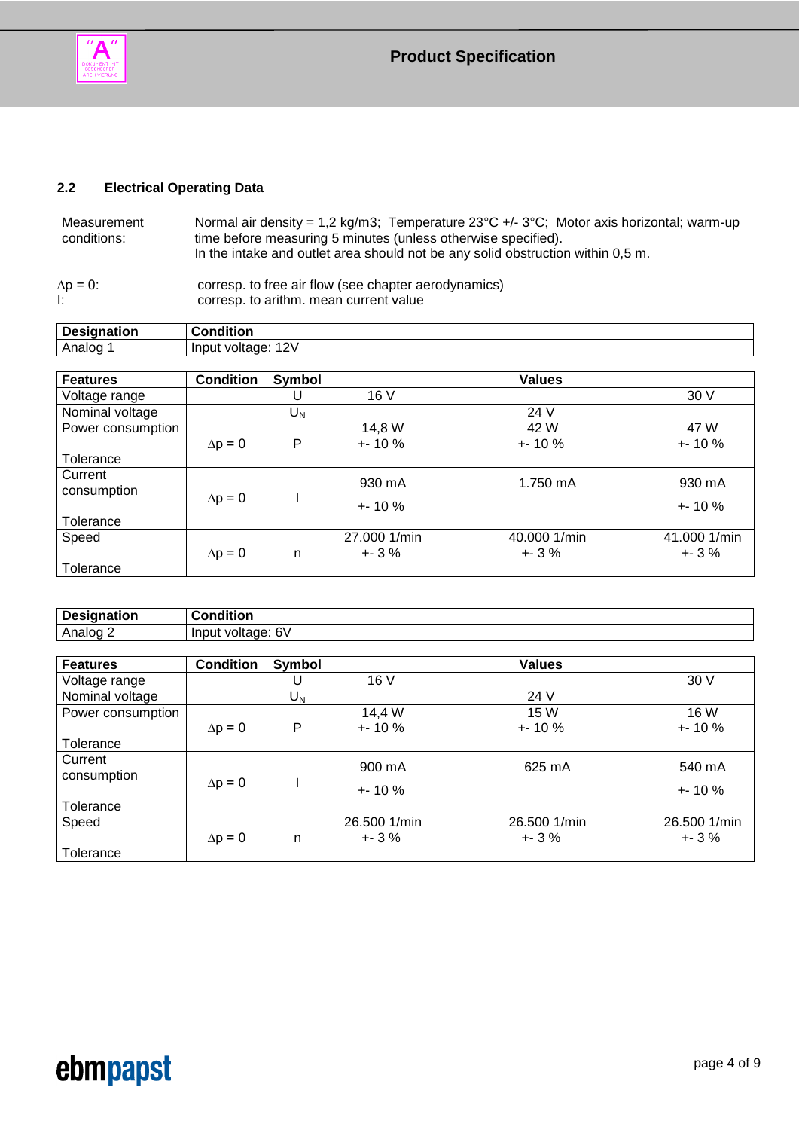

# <span id="page-3-0"></span>**2.2 Electrical Operating Data**

| Measurement            | Normal air density = 1,2 kg/m3; Temperature $23^{\circ}C$ +/- $3^{\circ}C$ ; Motor axis horizontal; warm-up                                                                       |
|------------------------|-----------------------------------------------------------------------------------------------------------------------------------------------------------------------------------|
| conditions:            | time before measuring 5 minutes (unless otherwise specified).                                                                                                                     |
| $\Delta p = 0$ :<br>Ŀ. | In the intake and outlet area should not be any solid obstruction within 0,5 m.<br>corresp. to free air flow (see chapter aerodynamics)<br>corresp. to arithm. mean current value |

| <b>Designation</b><br>uauon. | .<br>--------<br>'uon                                                 |
|------------------------------|-----------------------------------------------------------------------|
| Analog                       | $\sim$<br><b>Input</b><br>$\mathcal{U}$<br>онас<br>œ<br>$\sim$<br>. . |

| <b>Features</b>   | <b>Condition</b> | Symbol |              | <b>Values</b> |              |
|-------------------|------------------|--------|--------------|---------------|--------------|
| Voltage range     |                  |        | 16V          |               | 30 V         |
| Nominal voltage   |                  | $U_N$  |              | 24 V          |              |
| Power consumption |                  |        | 14,8 W       | 42 W          | 47 W         |
|                   | $\Delta p = 0$   | P      | $+ 10 \%$    | $+ 10%$       | $+ 10%$      |
| Tolerance         |                  |        |              |               |              |
| Current           |                  |        | 930 mA       | 1.750 mA      | 930 mA       |
| consumption       | $\Delta p = 0$   |        |              |               |              |
|                   |                  |        | $+ 10%$      |               | $+ 10%$      |
| Tolerance         |                  |        |              |               |              |
| Speed             |                  |        | 27.000 1/min | 40.000 1/min  | 41.000 1/min |
|                   | $\Delta p = 0$   | n      | $+3\%$       | $+3%$         | $+ - 3 \%$   |
| Tolerance         |                  |        |              |               |              |

| ' Des  | .       |
|--------|---------|
| ------ | ------- |
| παιινπ | - - -   |
| Λr     | ו כ     |

| <b>Features</b>   | <b>Condition</b> | Symbol           |              | <b>Values</b> |              |
|-------------------|------------------|------------------|--------------|---------------|--------------|
| Voltage range     |                  |                  | 16 V         |               | 30 V         |
| Nominal voltage   |                  | $\mathsf{U_{N}}$ |              | 24 V          |              |
| Power consumption |                  |                  | 14,4 W       | 15 W          | 16 W         |
|                   | $\Delta p = 0$   | P                | $+ 10%$      | $+ 10%$       | $+ - 10%$    |
| Tolerance         |                  |                  |              |               |              |
| Current           |                  |                  | 900 mA       | 625 mA        | 540 mA       |
| consumption       | $\Delta p = 0$   |                  |              |               |              |
|                   |                  |                  | $+ 10%$      |               | $+ 10%$      |
| Tolerance         |                  |                  |              |               |              |
| Speed             |                  |                  | 26.500 1/min | 26.500 1/min  | 26.500 1/min |
|                   | $\Delta p = 0$   | n                | $+3\%$       | $+3%$         | $+ - 3 \%$   |
| Tolerance         |                  |                  |              |               |              |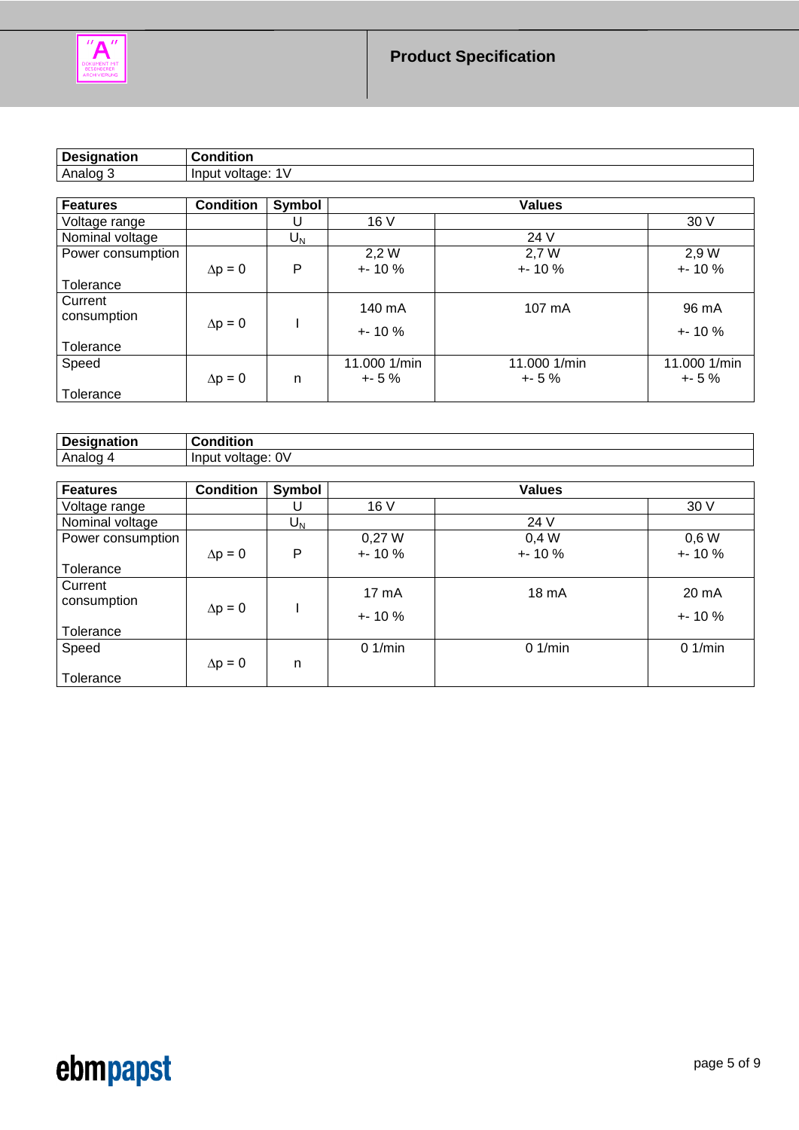

| <b>Condition</b><br><b>Designation</b>    |                   |         |             |               |             |  |  |
|-------------------------------------------|-------------------|---------|-------------|---------------|-------------|--|--|
| Analog 3                                  | Input voltage: 1V |         |             |               |             |  |  |
|                                           |                   |         |             |               |             |  |  |
| <b>Features</b>                           | <b>Condition</b>  | Symbol  |             | <b>Values</b> |             |  |  |
| Voltage range                             |                   |         | 16 V        |               | 30V         |  |  |
| Nominal voltage                           |                   | $U_{N}$ |             | 24 V          |             |  |  |
| Power consumption                         |                   |         | 2,2 W       | 2.7 W         | 2,9 W       |  |  |
|                                           | $\Delta p = 0$    | P       | $+ - 10 \%$ | $+ 10%$       | $+ - 10 \%$ |  |  |
| the service of the service of the service |                   |         |             |               |             |  |  |

| Tolerance                           |                |   |                       |                       |                       |
|-------------------------------------|----------------|---|-----------------------|-----------------------|-----------------------|
| Current<br>consumption<br>Tolerance | $\Delta p = 0$ |   | 140 mA<br>$+ - 10 \%$ | 107 mA                | 96 mA<br>$+ - 10 \%$  |
| Speed<br>Tolerance                  | $\Delta p = 0$ | n | 11.000 1/min<br>$+5%$ | 11.000 1/min<br>$+5%$ | 11.000 1/min<br>$+5%$ |

| Designation | <b>Condition</b>  |               |   |               |         |
|-------------|-------------------|---------------|---|---------------|---------|
| Analog 4    | Input voltage: 0V |               |   |               |         |
|             |                   |               |   |               |         |
| l Features  | <b>Condition</b>  | Svmbol        |   | <b>Values</b> |         |
| .           |                   | $\sim$ $\sim$ | . |               | - - - - |

| Galul 69          | <b>UURIUUR</b> | oyunou           |             | <b>values</b> |           |
|-------------------|----------------|------------------|-------------|---------------|-----------|
| Voltage range     |                |                  | 16V         |               | 30 V      |
| Nominal voltage   |                | $\mathsf{U_{N}}$ |             | 24 V          |           |
| Power consumption |                |                  | 0,27W       | 0,4 W         | $0,6$ W   |
|                   | $\Delta p = 0$ | P                | $+ - 10 \%$ | $+ - 10%$     | $+ - 10%$ |
| Tolerance         |                |                  |             |               |           |
| Current           |                |                  | 17 mA       | 18 mA         | 20 mA     |
| consumption       |                |                  |             |               |           |
|                   | $\Delta p = 0$ |                  | $+ 10%$     |               | $+ 10%$   |
| Tolerance         |                |                  |             |               |           |
| Speed             |                |                  | 0.1/min     | 01/min        | 0.1/min   |
|                   | $\Delta p = 0$ | n                |             |               |           |
| Tolerance         |                |                  |             |               |           |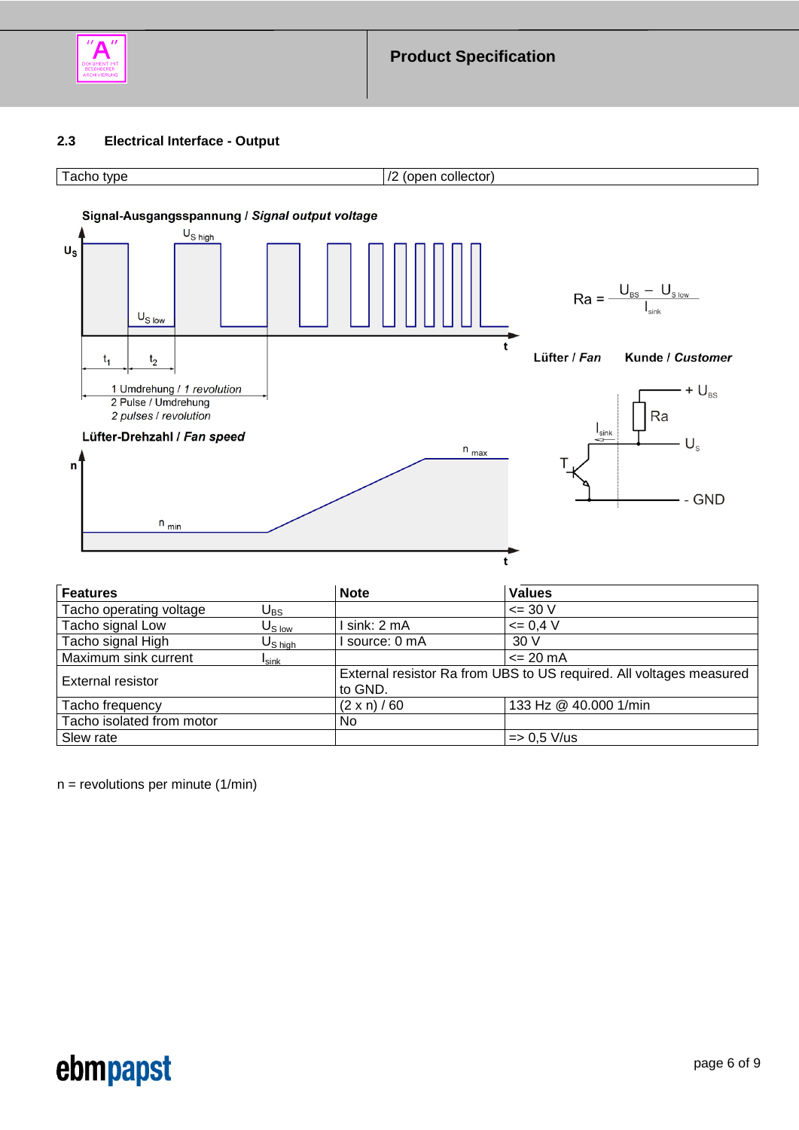

## <span id="page-5-0"></span>**2.3 Electrical Interface - Output**





| <b>Features</b>           |                                          | <b>Note</b>         | <b>Values</b>                                                       |
|---------------------------|------------------------------------------|---------------------|---------------------------------------------------------------------|
| Tacho operating voltage   | $\mathsf{U}_{\mathsf{BS}}$               |                     | $\leq$ 30 V                                                         |
| Tacho signal Low          | $U_{\rm S\,low}$                         | sink: 2 mA          | $= 0.4 V$                                                           |
| Tacho signal High         | $\mathsf{U}_{\mathsf{S}\:\mathsf{high}}$ | I source: 0 mA      | 30 V                                                                |
| Maximum sink current      | I <sub>sink</sub>                        |                     | $\leq$ 20 mA                                                        |
| External resistor         |                                          | to GND.             | External resistor Ra from UBS to US required. All voltages measured |
| Tacho frequency           |                                          | $(2 \times n) / 60$ | 133 Hz @ 40.000 1/min                                               |
| Tacho isolated from motor |                                          | No                  |                                                                     |
| Slew rate                 |                                          |                     | $=$ 0.5 V/us                                                        |

 $n =$  revolutions per minute  $(1/min)$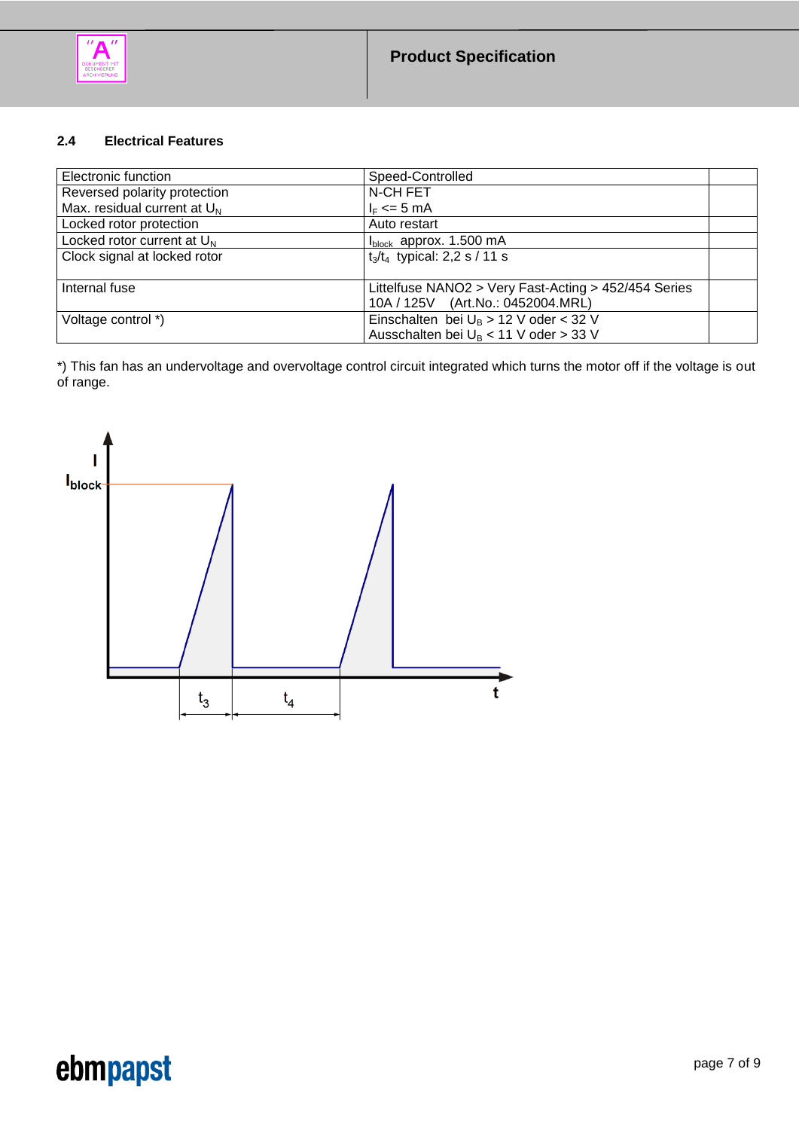

### <span id="page-6-0"></span>**2.4 Electrical Features**

| Electronic function            | Speed-Controlled                                     |  |
|--------------------------------|------------------------------------------------------|--|
| Reversed polarity protection   | N-CH FET                                             |  |
| Max. residual current at $U_N$ | $I_F \leq 5$ mA                                      |  |
| Locked rotor protection        | Auto restart                                         |  |
| Locked rotor current at $U_N$  | $I_{block}$ approx. 1.500 mA                         |  |
| Clock signal at locked rotor   | $t_3/t_4$ typical: 2,2 s / 11 s                      |  |
| Internal fuse                  | Littelfuse NANO2 > Very Fast-Acting > 452/454 Series |  |
|                                | 10A / 125V (Art.No.: 0452004.MRL)                    |  |
| Voltage control *)             | Einschalten bei $U_B > 12$ V oder < 32 V             |  |
|                                | Ausschalten bei U <sub>B</sub> < 11 V oder > 33 V    |  |

\*) This fan has an undervoltage and overvoltage control circuit integrated which turns the motor off if the voltage is out of range.

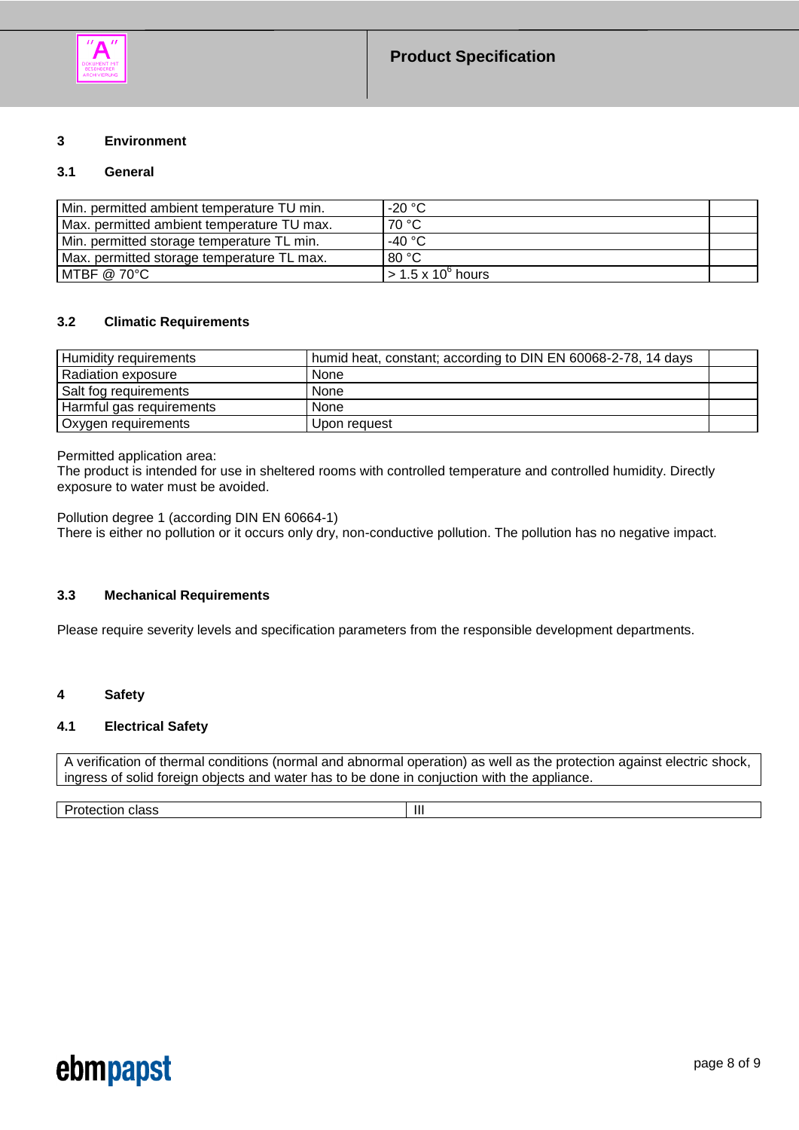

### <span id="page-7-0"></span>**3 Environment**

### <span id="page-7-1"></span>**3.1 General**

| Min. permitted ambient temperature TU min. | $-20 °C$                        |  |
|--------------------------------------------|---------------------------------|--|
| Max. permitted ambient temperature TU max. | 70 °C                           |  |
| Min. permitted storage temperature TL min. | -40 °C                          |  |
| Max. permitted storage temperature TL max. | 80 °C                           |  |
| MTBF @ 70°C                                | $>$ 1.5 x 10 <sup>6</sup> hours |  |

#### <span id="page-7-2"></span>**3.2 Climatic Requirements**

| Humidity requirements    | humid heat, constant; according to DIN EN 60068-2-78, 14 days |  |
|--------------------------|---------------------------------------------------------------|--|
| Radiation exposure       | <b>None</b>                                                   |  |
| Salt fog requirements    | None                                                          |  |
| Harmful gas requirements | None                                                          |  |
| Oxygen requirements      | Upon request                                                  |  |

Permitted application area:

The product is intended for use in sheltered rooms with controlled temperature and controlled humidity. Directly exposure to water must be avoided.

Pollution degree 1 (according DIN EN 60664-1) There is either no pollution or it occurs only dry, non-conductive pollution. The pollution has no negative impact.

### <span id="page-7-3"></span>**3.3 Mechanical Requirements**

Please require severity levels and specification parameters from the responsible development departments.

#### <span id="page-7-4"></span>**4 Safety**

### <span id="page-7-5"></span>**4.1 Electrical Safety**

A verification of thermal conditions (normal and abnormal operation) as well as the protection against electric shock, ingress of solid foreign objects and water has to be done in conjuction with the appliance.

Protection class and a state of the state of the state of the state of the state of the state of the state of the state of the state of the state of the state of the state of the state of the state of the state of the stat